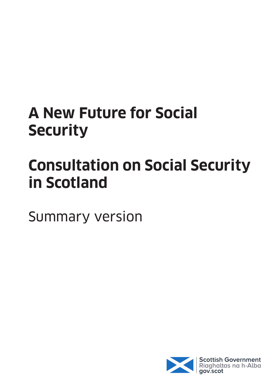## **A New Future for Social Security**

# **Consultation on Social Security in Scotland**

Summary version

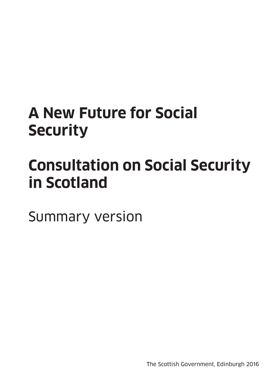## **A New Future for Social Security**

## **Consultation on Social Security in Scotland**

Summary version

The Scottish Government, Edinburgh 2016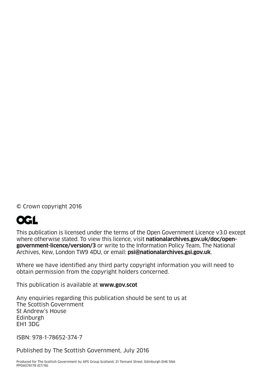© Crown copyright 2016

## **OGL**

This publication is licensed under the terms of the Open Government Licence v3.0 except where otherwise stated. To view this licence, visit **nationalarchives.gov.uk/doc/opengovernment-licence/version/3** or write to the Information Policy Team, The National Archives, Kew, London TW9 4DU, or email: **psi@nationalarchives.gsi.gov.uk**.

Where we have identified any third party copyright information you will need to obtain permission from the copyright holders concerned.

This publication is available at **www.gov.scot**

Any enquiries regarding this publication should be sent to us at The Scottish Government St Andrew's House **Edinburgh** EH1 3DG

ISBN: 978-1-78652-374-7

Published by The Scottish Government, July 2016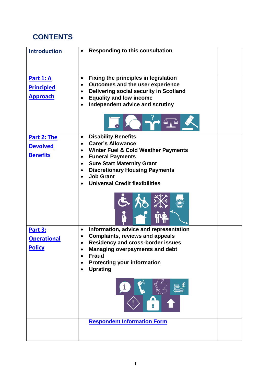## <span id="page-3-0"></span>**CONTENTS**

| <b>Introduction</b> | <b>Responding to this consultation</b>                |
|---------------------|-------------------------------------------------------|
| <b>Part 1: A</b>    | <b>Fixing the principles in legislation</b><br>٠      |
|                     | Outcomes and the user experience<br>٠                 |
| <b>Principled</b>   | Delivering social security in Scotland                |
| <b>Approach</b>     | <b>Equality and low income</b><br>$\bullet$           |
|                     | Independent advice and scrutiny<br>$\bullet$          |
|                     |                                                       |
| Part 2: The         | <b>Disability Benefits</b><br>$\bullet$               |
| <b>Devolved</b>     | <b>Carer's Allowance</b><br>$\bullet$                 |
|                     | <b>Winter Fuel &amp; Cold Weather Payments</b><br>٠   |
| <b>Benefits</b>     | <b>Funeral Payments</b>                               |
|                     | <b>Sure Start Maternity Grant</b><br>$\bullet$        |
|                     | <b>Discretionary Housing Payments</b><br>$\bullet$    |
|                     | <b>Job Grant</b><br>$\bullet$                         |
|                     | <b>Universal Credit flexibilities</b>                 |
|                     |                                                       |
| <b>Part 3:</b>      | Information, advice and representation<br>$\bullet$   |
| <b>Operational</b>  | <b>Complaints, reviews and appeals</b><br>$\bullet$   |
|                     | <b>Residency and cross-border issues</b>              |
| <b>Policy</b>       | <b>Managing overpayments and debt</b>                 |
|                     | <b>Fraud</b>                                          |
|                     | <b>Protecting your information</b><br><b>Uprating</b> |
|                     |                                                       |
|                     |                                                       |
|                     | <b>Respondent Information Form</b>                    |
|                     |                                                       |
|                     |                                                       |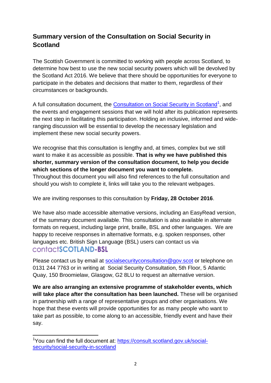## <span id="page-4-0"></span>**Summary version of the Consultation on Social Security in Scotland**

The Scottish Government is committed to working with people across Scotland, to determine how best to use the new social security powers which will be devolved by the Scotland Act 2016. We believe that there should be opportunities for everyone to participate in the debates and decisions that matter to them, regardless of their circumstances or backgrounds.

A full consultation document, the [Consultation on Social Security in Scotland](https://consult.scotland.gov.uk/social-security/social-security-in-scotland)<sup>1</sup>, and the events and engagement sessions that we will hold after its publication represents the next step in facilitating this participation. Holding an inclusive, informed and wideranging discussion will be essential to develop the necessary legislation and implement these new social security powers.

We recognise that this consultation is lengthy and, at times, complex but we still want to make it as accessible as possible. **That is why we have published this shorter, summary version of the consultation document, to help you decide which sections of the longer document you want to complete.**

Throughout this document you will also find references to the full consultation and should you wish to complete it, links will take you to the relevant webpages.

We are inviting responses to this consultation by **Friday, 28 October 2016**.

We have also made accessible alternative versions, including an EasyRead version, of the summary document available. This consultation is also available in alternate formats on request, including large print, braille, BSL and other languages. We are happy to receive responses in alternative formats, e.g. spoken responses, other languages etc. British Sign Language (BSL) users can contact us via contactSCOTLAND-BSL

Please contact us by email at socialsecurity consultation@gov.scot or telephone on 0131 244 7763 or in writing at Social Security Consultation, 5th Floor, 5 Atlantic Quay, 150 Broomielaw, Glasgow, G2 8LU to request an alternative version.

**We are also arranging an extensive programme of stakeholder events, which will take place after the consultation has been launched.** These will be organised in partnership with a range of representative groups and other organisations. We hope that these events will provide opportunities for as many people who want to take part as possible, to come along to an accessible, friendly event and have their say.

**<sup>.</sup>** <sup>1</sup>You can find the full document at: [https://consult.scotland.gov.uk/social](https://consult.scotland.gov.uk/social-security/social-security-in-scotland)[security/social-security-in-scotland](https://consult.scotland.gov.uk/social-security/social-security-in-scotland)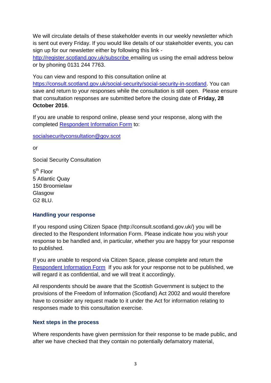We will circulate details of these stakeholder events in our weekly newsletter which is sent out every Friday. If you would like details of our stakeholder events, you can sign up for our newsletter either by following this link -

[http://register.scotland.gov.uk/subscribe](http://register.scotland.gov.uk/Subscribe/Step1) emailing us using the email address below or by phoning 0131 244 7763.

You can view and respond to this consultation online at [https://consult.scotland.gov.uk/social-security/social-security-in-scotland.](https://consult.scotland.gov.uk/social-security/social-security-in-scotland) You can save and return to your responses while the consultation is still open. Please ensure that consultation responses are submitted before the closing date of **Friday, 28 October 2016**.

If you are unable to respond online, please send your response, along with the completed [Respondent Information Form](#page-30-0) to:

[socialsecurityconsultation@gov.scot](mailto:socialsecurityconsultation@gov.scot) 

or

Social Security Consultation

5<sup>th</sup> Floor 5 Atlantic Quay 150 Broomielaw Glasgow G2 8LU.

#### **Handling your response**

If you respond using Citizen Space (http://consult.scotland.gov.uk/) you will be directed to the Respondent Information Form. Please indicate how you wish your response to be handled and, in particular, whether you are happy for your response to published.

If you are unable to respond via Citizen Space, please complete and return the [Respondent Information Form](#page-30-0) If you ask for your response not to be published, we will regard it as confidential, and we will treat it accordingly.

All respondents should be aware that the Scottish Government is subject to the provisions of the Freedom of Information (Scotland) Act 2002 and would therefore have to consider any request made to it under the Act for information relating to responses made to this consultation exercise.

#### **Next steps in the process**

Where respondents have given permission for their response to be made public, and after we have checked that they contain no potentially defamatory material,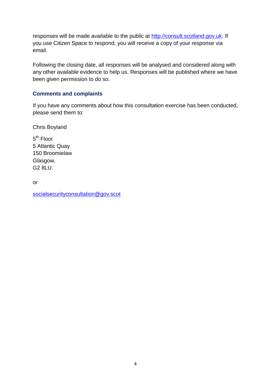responses will be made available to the public at [http://consult.scotland.gov.uk.](http://consult.scotland.gov.uk/) If you use Citizen Space to respond, you will receive a copy of your response via email.

Following the closing date, all responses will be analysed and considered along with any other available evidence to help us. Responses will be published where we have been given permission to do so.

#### **Comments and complaints**

If you have any comments about how this consultation exercise has been conducted, please send them to:

Chris Boyland

5<sup>th</sup> Floor 5 Atlantic Quay 150 Broomielaw Glasgow, G2 8LU.

or

[socialsecurityconsultation@gov.scot](mailto:socialsecurityconsultation@gov.scot)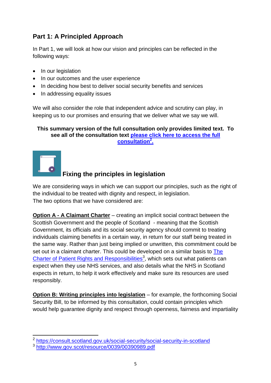## **Part 1: A Principled Approach**

In Part 1, we will look at how our vision and principles can be reflected in the following ways:

- In our legislation
- In our outcomes and the user experience
- In deciding how best to deliver social security benefits and services
- In addressing equality issues

We will also consider the role that independent advice and scrutiny can play, in keeping us to our promises and ensuring that we deliver what we say we will.

#### **This summary version of the full consultation only provides limited text. To see all of the consultation text [please click here to](https://consult.scotland.gov.uk/social-security/social-security-in-scotland) access the full [consultation](https://consult.scotland.gov.uk/social-security/social-security-in-scotland)<sup>2</sup> .**



## **Fixing the principles in legislation**

We are considering ways in which we can support our principles, such as the right of the individual to be treated with dignity and respect, in legislation. The two options that we have considered are:

**Option A - A Claimant Charter** – creating an implicit social contract between the Scottish Government and the people of Scotland - meaning that the Scottish Government, its officials and its social security agency should commit to treating individuals claiming benefits in a certain way, in return for our staff being treated in the same way. Rather than just being implied or unwritten, this commitment could be set out in a claimant charter. This could be developed on a similar basis to The [Charter of Patient Rights and Responsibilities](http://www.gov.scot/resource/0039/00390989.pdf)<sup>3</sup>, which sets out what patients can expect when they use NHS services, and also details what the NHS in Scotland expects in return, to help it work effectively and make sure its resources are used responsibly.

**Option B: Writing principles into legislation** – for example, the forthcoming Social Security Bill, to be informed by this consultation, could contain principles which would help guarantee dignity and respect through openness, fairness and impartiality

 2 <https://consult.scotland.gov.uk/social-security/social-security-in-scotland>

<sup>3</sup> <http://www.gov.scot/resource/0039/00390989.pdf>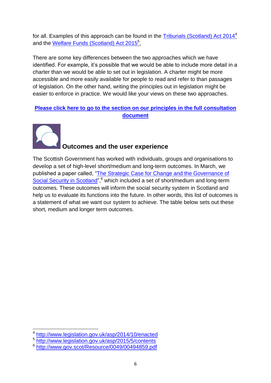for all. Examples of this approach can be found in the [Tribunals \(Scotland\) Act 2014](http://www.legislation.gov.uk/asp/2014/10/enacted)<sup>4</sup> and the [Welfare Funds \(Scotland\) Act](http://www.legislation.gov.uk/asp/2015/5/contents) 2015<sup>5</sup>.

There are some key differences between the two approaches which we have identified. For example, it's possible that we would be able to include more detail in a charter than we would be able to set out in legislation. A charter might be more accessible and more easily available for people to read and refer to than passages of legislation. On the other hand, writing the principles out in legislation might be easier to enforce in practice. We would like your views on these two approaches.

#### **Please click here to go to the [section on our principles in the](https://consult.scotland.gov.uk/social-security/social-security-in-scotland/consultation/subpage.2015-12-09.0683792923/) full consultation [document](https://consult.scotland.gov.uk/social-security/social-security-in-scotland/consultation/subpage.2015-12-09.0683792923/)**



**.** 

## **Outcomes and the user experience**

The Scottish Government has worked with individuals, groups and organisations to develop a set of high-level short/medium and long-term outcomes. In March, we published a paper called, ["The Strategic Case for Change and the Governance of](http://www.gov.scot/Resource/0049/00494859.pdf)  [Social Security in Scotland"](http://www.gov.scot/Resource/0049/00494859.pdf),<sup>6</sup> which included a set of short/medium and long-term outcomes. These outcomes will inform the social security system in Scotland and help us to evaluate its functions into the future. In other words, this list of outcomes is a statement of what we want our system to achieve. The table below sets out these short, medium and longer term outcomes.

<sup>4</sup> <http://www.legislation.gov.uk/asp/2014/10/enacted>

<sup>5</sup> <http://www.legislation.gov.uk/asp/2015/5/contents>

<sup>6</sup> <http://www.gov.scot/Resource/0049/00494859.pdf>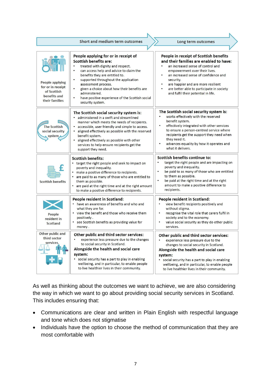|                                                                                              | Short and medium term outcomes                                                                                                                                                                                                                                                                                                                                                                                                       | Long term outcomes                                                                                                                                                                                                                                                                                                                          |
|----------------------------------------------------------------------------------------------|--------------------------------------------------------------------------------------------------------------------------------------------------------------------------------------------------------------------------------------------------------------------------------------------------------------------------------------------------------------------------------------------------------------------------------------|---------------------------------------------------------------------------------------------------------------------------------------------------------------------------------------------------------------------------------------------------------------------------------------------------------------------------------------------|
|                                                                                              |                                                                                                                                                                                                                                                                                                                                                                                                                                      |                                                                                                                                                                                                                                                                                                                                             |
| <b>People applying</b><br>for or in receipt<br>of Scottish<br>benefits and<br>their families | People applying for or in receipt of<br><b>Scottish benefits are:</b><br>treated with dignity and respect.<br>$\bullet$<br>can access help and advice to claim the<br>benefits they are entitled to.<br>supported throughout the application<br>$\bullet$<br>assessment process.<br>given a choice about how their benefits are<br>administered.<br>have positive experience of the Scottish social<br>$\bullet$<br>security system. | People in receipt of Scottish benefits<br>and their families are enabled to have:<br>an increased sense of control and<br>empowerment over their lives.<br>an increased sense of confidence and<br>security.<br>are happier and are more resilient<br>٠<br>are better able to participate in society<br>and fulfil their potential in life. |
| <b>The Scottish</b><br>social security<br>system,                                            | The Scottish social security system is:<br>• administered in a swift and streamlined<br>manner which meets the needs of recipients.<br>• accessible, user friendly and simple to access.<br>aligned effectively as possible with the reserved<br>$\bullet$<br>benefit system.<br>aligned effectively as possible with other<br>services to help ensure recipients get the<br>support they need.                                      | The Scottish social security system is:<br>works effectively with the reserved<br>benefit system.<br>effectively integrated with other services<br>$\bullet$<br>to ensure a person-centred service where<br>recipients get the support they need when<br>they need it.<br>advances equality by how it operates and<br>what it delivers.     |
| <b>Scottish benefits</b>                                                                     | <b>Scottish benefits:</b><br>• target the right people and seek to impact on<br>poverty and inequality.<br>make a positive difference to recipients.<br>are paid to as many of those who are entitled to<br>them as possible.<br>are paid at the right time and at the right amount<br>to make a positive difference to recipients.                                                                                                  | <b>Scottish benefits continue to:</b><br>target the right people and are impacting on<br>poverty and inequality.<br>be paid to as many of those who are entitled<br>$\bullet$<br>to them as possible.<br>$\bullet$<br>be paid at the right time and at the right<br>amount to make a positive difference to<br>recipients.                  |
| People<br>resident in<br>Scotland                                                            | People resident in Scotland:<br>• have an awareness of benefits and who and<br>what they are for.<br>• view the benefit and those who receive them<br>positively.<br>see Scottish benefits as providing value for<br>money.                                                                                                                                                                                                          | People resident in Scotland:<br>view benefit recipients positively and<br>without stigma.<br>$\bullet$<br>recognise the vital role that carers fulfil in<br>society and to the economy.<br>value social security as they do other public<br>services.                                                                                       |
| Other public and<br>third sector<br>services.                                                | Other public and third sector services:<br>experience less pressure due to the changes<br>to social security in Scotland.<br>Alongside the health and social care<br>system:<br>• social security has a part to play in enabling<br>wellbeing, and in particular, to enable people<br>to live healthier lives in their community.                                                                                                    | Other public and third sector services:<br>experience less pressure due to the<br>٠<br>changes to social security in Scotland.<br>Alongside the health and social care<br>system:<br>social security has a part to play in enabling<br>wellbeing, and in particular, to enable people<br>to live healthier lives in their community.        |

As well as thinking about the outcomes we want to achieve, we are also considering the way in which we want to go about providing social security services in Scotland. This includes ensuring that:

- Communications are clear and written in Plain English with respectful language and tone which does not stigmatise
- Individuals have the option to choose the method of communication that they are most comfortable with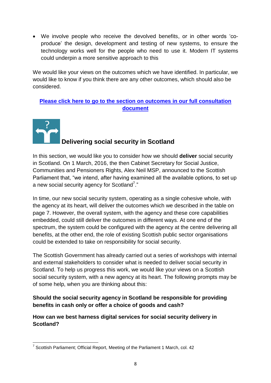We involve people who receive the devolved benefits, or in other words "coproduce" the design, development and testing of new systems, to ensure the technology works well for the people who need to use it. Modern IT systems could underpin a more sensitive approach to this

We would like your views on the outcomes which we have identified. In particular, we would like to know if you think there are any other outcomes, which should also be considered.

## **Please click here to go to the [section on outcomes in our full consultation](https://consult.scotland.gov.uk/social-security/social-security-in-scotland/consultation/subpage.2016-06-22.7395985839/)  [document](https://consult.scotland.gov.uk/social-security/social-security-in-scotland/consultation/subpage.2016-06-22.7395985839/)**



## **Delivering social security in Scotland**

In this section, we would like you to consider how we should **deliver** social security in Scotland. On 1 March, 2016, the then Cabinet Secretary for Social Justice, Communities and Pensioners Rights, Alex Neil MSP, announced to the Scottish Parliament that, "we intend, after having examined all the available options, to set up a new social security agency for Scotland<sup>7</sup>."

In time, our new social security system, operating as a single cohesive whole, with the agency at its heart, will deliver the outcomes which we described in the table on page 7. However, the overall system, with the agency and these core capabilities embedded, could still deliver the outcomes in different ways. At one end of the spectrum, the system could be configured with the agency at the centre delivering all benefits, at the other end, the role of existing Scottish public sector organisations could be extended to take on responsibility for social security.

The Scottish Government has already carried out a series of workshops with internal and external stakeholders to consider what is needed to deliver social security in Scotland. To help us progress this work, we would like your views on a Scottish social security system, with a new agency at its heart. The following prompts may be of some help, when you are thinking about this:

**Should the social security agency in Scotland be responsible for providing benefits in cash only or offer a choice of goods and cash?**

**How can we best harness digital services for social security delivery in Scotland?** 

<sup>————————————————————&</sup>lt;br><sup>7</sup> Scottish Parliament; Official Report, Meeting of the Parliament 1 March, col. 42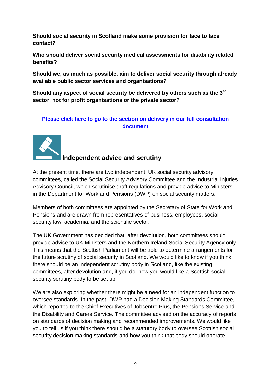**Should social security in Scotland make some provision for face to face contact?**

**Who should deliver social security medical assessments for disability related benefits?**

**Should we, as much as possible, aim to deliver social security through already available public sector services and organisations?** 

Should any aspect of social security be delivered by others such as the 3<sup>rd</sup> **sector, not for profit organisations or the private sector?** 

#### **Please click here to go to the [section on delivery in our full consultation](https://consult.scotland.gov.uk/social-security/social-security-in-scotland/consultation/subpage.2016-06-22.7820321127/)  [document](https://consult.scotland.gov.uk/social-security/social-security-in-scotland/consultation/subpage.2016-06-22.7820321127/)**



**Independent advice and scrutiny**

At the present time, there are two independent, UK social security advisory committees, called the Social Security Advisory Committee and the Industrial Injuries Advisory Council, which scrutinise draft regulations and provide advice to Ministers in the Department for Work and Pensions (DWP) on social security matters.

Members of both committees are appointed by the Secretary of State for Work and Pensions and are drawn from representatives of business, employees, social security law, academia, and the scientific sector.

The UK Government has decided that, after devolution, both committees should provide advice to UK Ministers and the Northern Ireland Social Security Agency only. This means that the Scottish Parliament will be able to determine arrangements for the future scrutiny of social security in Scotland. We would like to know if you think there should be an independent scrutiny body in Scotland, like the existing committees, after devolution and, if you do, how you would like a Scottish social security scrutiny body to be set up.

We are also exploring whether there might be a need for an independent function to oversee standards. In the past, DWP had a Decision Making Standards Committee, which reported to the Chief Executives of Jobcentre Plus, the Pensions Service and the Disability and Carers Service. The committee advised on the accuracy of reports, on standards of decision making and recommended improvements. We would like you to tell us if you think there should be a statutory body to oversee Scottish social security decision making standards and how you think that body should operate.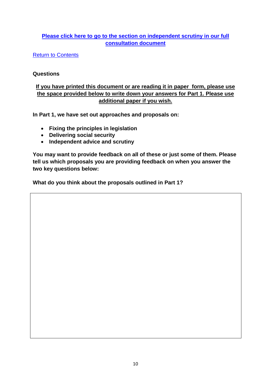### **Please click here to go to the [section on independent scrutiny in our full](https://consult.scotland.gov.uk/social-security/social-security-in-scotland/consultation/subpage.2016-06-22.9101210037/)  [consultation document](https://consult.scotland.gov.uk/social-security/social-security-in-scotland/consultation/subpage.2016-06-22.9101210037/)**

**[Return to Contents](#page-3-0)** 

#### **Questions**

### **If you have printed this document or are reading it in paper form, please use the space provided below to write down your answers for Part 1. Please use additional paper if you wish.**

**In Part 1, we have set out approaches and proposals on:**

- **Fixing the principles in legislation**
- **Delivering social security**
- **Independent advice and scrutiny**

**You may want to provide feedback on all of these or just some of them. Please tell us which proposals you are providing feedback on when you answer the two key questions below:**

**What do you think about the proposals outlined in Part 1?**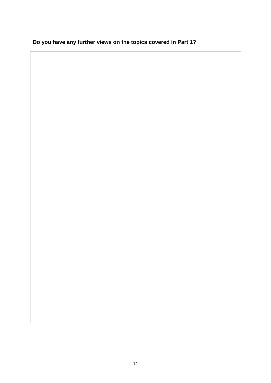| Do you have any further views on the topics covered in Part 1? |
|----------------------------------------------------------------|
|----------------------------------------------------------------|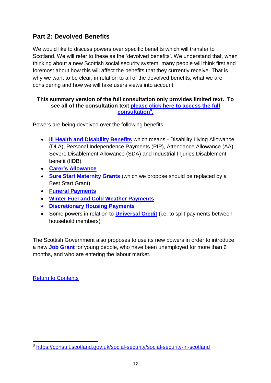## <span id="page-14-0"></span>**Part 2: Devolved Benefits**

We would like to discuss powers over specific benefits which will transfer to Scotland. We will refer to these as the 'devolved benefits'. We understand that, when thinking about a new Scottish social security system, many people will think first and foremost about how this will affect the benefits that they currently receive. That is why we want to be clear, in relation to all of the devolved benefits, what we are considering and how we will take users views into account.

#### **This summary version of the full consultation only provides limited text. To see all of the consultation text [please click here to access the full](https://consult.scotland.gov.uk/social-security/social-security-in-scotland)  [consultation](https://consult.scotland.gov.uk/social-security/social-security-in-scotland)<sup>8</sup> .**

Powers are being devolved over the following benefits:-

- **[Ill Health and Disability Benefits](#page-15-0)** which means Disability Living Allowance (DLA), Personal Independence Payments (PIP), Attendance Allowance (AA), Severe Disablement Allowance (SDA) and Industrial Injuries Disablement benefit (IIDB)
- **[Carer's Allowance](#page-15-1)**
- **[Sure Start Maternity Grants](#page-16-0)** (which we propose should be replaced by a Best Start Grant)
- **[Funeral Payments](#page-17-0)**
- **[Winter Fuel and Cold Weather Payments](#page-17-1)**
- **[Discretionary Housing Payments](#page-18-0)**
- Some powers in relation to **[Universal Credit](#page-18-1)** (i.e. to split payments between household members)

The Scottish Government also proposes to use its new powers in order to introduce a new **[Job Grant](#page-19-0)** for young people, who have been unemployed for more than 6 months, and who are entering the labour market.

[Return to Contents](#page-3-0)

 8 <https://consult.scotland.gov.uk/social-security/social-security-in-scotland>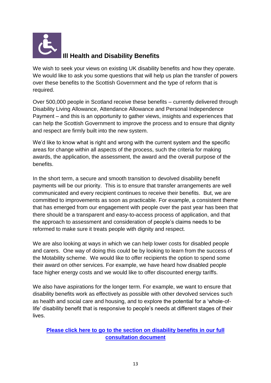<span id="page-15-0"></span>

## **Ill Health and Disability Benefits**

We wish to seek your views on existing UK disability benefits and how they operate. We would like to ask you some questions that will help us plan the transfer of powers over these benefits to the Scottish Government and the type of reform that is required.

Over 500,000 people in Scotland receive these benefits – currently delivered through Disability Living Allowance, Attendance Allowance and Personal Independence Payment – and this is an opportunity to gather views, insights and experiences that can help the Scottish Government to improve the process and to ensure that dignity and respect are firmly built into the new system.

We'd like to know what is right and wrong with the current system and the specific areas for change within all aspects of the process, such the criteria for making awards, the application, the assessment, the award and the overall purpose of the benefits.

In the short term, a secure and smooth transition to devolved disability benefit payments will be our priority. This is to ensure that transfer arrangements are well communicated and every recipient continues to receive their benefits. But, we are committed to improvements as soon as practicable. For example, a consistent theme that has emerged from our engagement with people over the past year has been that there should be a transparent and easy-to-access process of application, and that the approach to assessment and consideration of people"s claims needs to be reformed to make sure it treats people with dignity and respect.

We are also looking at ways in which we can help lower costs for disabled people and carers. One way of doing this could be by looking to learn from the success of the Motability scheme. We would like to offer recipients the option to spend some their award on other services. For example, we have heard how disabled people face higher energy costs and we would like to offer discounted energy tariffs.

We also have aspirations for the longer term. For example, we want to ensure that disability benefits work as effectively as possible with other devolved services such as health and social care and housing, and to explore the potential for a "whole-oflife' disability benefit that is responsive to people's needs at different stages of their lives.

<span id="page-15-1"></span>**[Please click here to go to the section on disability benefits](https://consult.scotland.gov.uk/social-security/social-security-in-scotland/consultation/subpage.2016-06-22.2537772090/) in our full [consultation document](https://consult.scotland.gov.uk/social-security/social-security-in-scotland/consultation/subpage.2016-06-22.2537772090/)**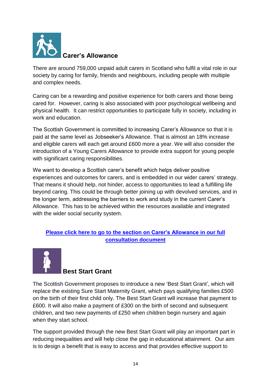

There are around 759,000 unpaid adult carers in Scotland who fulfil a vital role in our society by caring for family, friends and neighbours, including people with multiple and complex needs.

Caring can be a rewarding and positive experience for both carers and those being cared for. However, caring is also associated with poor psychological wellbeing and physical health. It can restrict opportunities to participate fully in society, including in work and education.

The Scottish Government is committed to increasing Carer"s Allowance so that it is paid at the same level as Jobseeker"s Allowance. That is almost an 18% increase and eligible carers will each get around £600 more a year. We will also consider the introduction of a Young Carers Allowance to provide extra support for young people with significant caring responsibilities.

We want to develop a Scottish carer's benefit which helps deliver positive experiences and outcomes for carers, and is embedded in our wider carers' strategy. That means it should help, not hinder, access to opportunities to lead a fulfilling life beyond caring. This could be through better joining up with devolved services, and in the longer term, addressing the barriers to work and study in the current Carer"s Allowance. This has to be achieved within the resources available and integrated with the wider social security system.

### **[Please click here to go to the section on Carer's Allowance](https://consult.scotland.gov.uk/social-security/social-security-in-scotland/consultation/subpage.2016-06-24.2641350062/) in our full [consultation document](https://consult.scotland.gov.uk/social-security/social-security-in-scotland/consultation/subpage.2016-06-24.2641350062/)**

<span id="page-16-0"></span>

### **Best Start Grant**

The Scottish Government proposes to introduce a new "Best Start Grant", which will replace the existing Sure Start Maternity Grant, which pays qualifying families £500 on the birth of their first child only. The Best Start Grant will increase that payment to £600. It will also make a payment of £300 on the birth of second and subsequent children, and two new payments of £250 when children begin nursery and again when they start school.

The support provided through the new Best Start Grant will play an important part in reducing inequalities and will help close the gap in educational attainment. Our aim is to design a benefit that is easy to access and that provides effective support to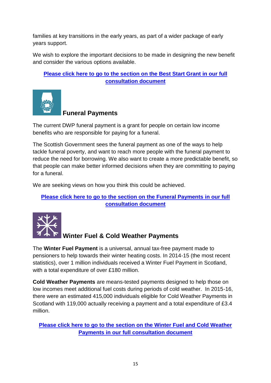families at key transitions in the early years, as part of a wider package of early years support.

We wish to explore the important decisions to be made in designing the new benefit and consider the various options available.

<span id="page-17-0"></span>**[Please click here to go to the section on the Best Start Grant](https://consult.scotland.gov.uk/social-security/social-security-in-scotland/consultation/subpage.2016-06-26.6050226460/) in our full [consultation document](https://consult.scotland.gov.uk/social-security/social-security-in-scotland/consultation/subpage.2016-06-26.6050226460/)**



## **Funeral Payments**

The current DWP funeral payment is a grant for people on certain low income benefits who are responsible for paying for a funeral.

The Scottish Government sees the funeral payment as one of the ways to help tackle funeral poverty, and want to reach more people with the funeral payment to reduce the need for borrowing. We also want to create a more predictable benefit, so that people can make better informed decisions when they are committing to paying for a funeral.

We are seeking views on how you think this could be achieved.

### <span id="page-17-1"></span>**Please [click here to go to the section on the Funeral Payments](https://consult.scotland.gov.uk/social-security/social-security-in-scotland/consultation/subpage.2016-06-26.4604461238/) in our full [consultation document](https://consult.scotland.gov.uk/social-security/social-security-in-scotland/consultation/subpage.2016-06-26.4604461238/)**



## **Winter Fuel & Cold Weather Payments**

The **Winter Fuel Payment** is a universal, annual tax-free payment made to pensioners to help towards their winter heating costs. In 2014-15 (the most recent statistics), over 1 million individuals received a Winter Fuel Payment in Scotland, with a total expenditure of over £180 million.

**Cold Weather Payments** are means-tested payments designed to help those on low incomes meet additional fuel costs during periods of cold weather. In 2015-16, there were an estimated 415,000 individuals eligible for Cold Weather Payments in Scotland with 119,000 actually receiving a payment and a total expenditure of £3.4 million.

**[Please click here to go to the section on the Winter Fuel and Cold Weather](https://consult.scotland.gov.uk/social-security/social-security-in-scotland/consultation/subpage.2016-06-24.0000969269/)  Payments [in our full consultation document](https://consult.scotland.gov.uk/social-security/social-security-in-scotland/consultation/subpage.2016-06-24.0000969269/)**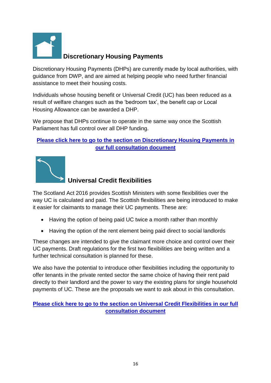<span id="page-18-0"></span>

## **Discretionary Housing Payments**

Discretionary Housing Payments (DHPs) are currently made by local authorities, with guidance from DWP, and are aimed at helping people who need further financial assistance to meet their housing costs.

Individuals whose housing benefit or Universal Credit (UC) has been reduced as a result of welfare changes such as the "bedroom tax", the benefit cap or Local Housing Allowance can be awarded a DHP.

We propose that DHPs continue to operate in the same way once the Scottish Parliament has full control over all DHP funding.

## **[Please click here to go to the section on Discretionary Housing Payments](https://consult.scotland.gov.uk/social-security/social-security-in-scotland/consultation/subpage.2016-06-26.3200895991/) in [our full consultation document](https://consult.scotland.gov.uk/social-security/social-security-in-scotland/consultation/subpage.2016-06-26.3200895991/)**

<span id="page-18-1"></span>

## **Universal Credit flexibilities**

The Scotland Act 2016 provides Scottish Ministers with some flexibilities over the way UC is calculated and paid. The Scottish flexibilities are being introduced to make it easier for claimants to manage their UC payments. These are:

- Having the option of being paid UC twice a month rather than monthly
- Having the option of the rent element being paid direct to social landlords

These changes are intended to give the claimant more choice and control over their UC payments. Draft regulations for the first two flexibilities are being written and a further technical consultation is planned for these.

We also have the potential to introduce other flexibilities including the opportunity to offer tenants in the private rented sector the same choice of having their rent paid directly to their landlord and the power to vary the existing plans for single household payments of UC. These are the proposals we want to ask about in this consultation.

## **[Please click here to go to the section on Universal Credit Flexibilities](https://consult.scotland.gov.uk/social-security/social-security-in-scotland/consultation/subpage.2016-06-26.1604999080/) in our full [consultation document](https://consult.scotland.gov.uk/social-security/social-security-in-scotland/consultation/subpage.2016-06-26.1604999080/)**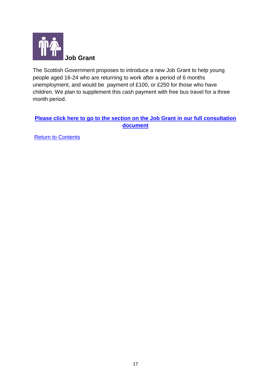<span id="page-19-0"></span>

The Scottish Government proposes to introduce a new Job Grant to help young people aged 16-24 who are returning to work after a period of 6 months unemployment, and would be payment of £100, or £250 for those who have children. We plan to supplement this cash payment with free bus travel for a three month period.

### **[Please click here to go to the section on the Job Grant](https://consult.scotland.gov.uk/social-security/social-security-in-scotland/consultation/subpage.2016-06-26.9635684713/) in our full consultation [document](https://consult.scotland.gov.uk/social-security/social-security-in-scotland/consultation/subpage.2016-06-26.9635684713/)**

[Return to Contents](#page-3-0)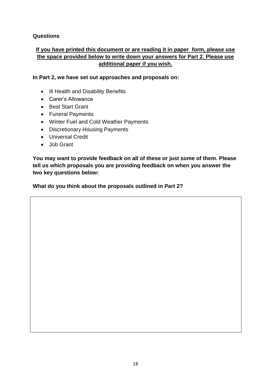#### **Questions**

### **If you have printed this document or are reading it in paper form, please use the space provided below to write down your answers for Part 2. Please use additional paper if you wish.**

**In Part 2, we have set out approaches and proposals on:**

- III Health and Disability Benefits
- Carer"s Allowance
- Best Start Grant
- Funeral Payments
- Winter Fuel and Cold Weather Payments
- Discretionary Housing Payments
- Universal Credit
- Job Grant

**You may want to provide feedback on all of these or just some of them. Please tell us which proposals you are providing feedback on when you answer the two key questions below:**

**What do you think about the proposals outlined in Part 2?**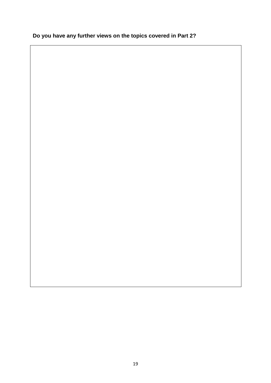## **Do you have any further views on the topics covered in Part 2?**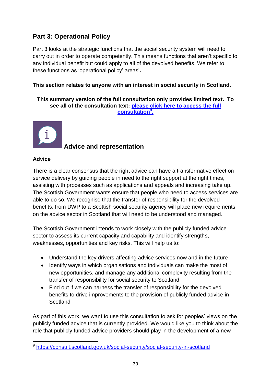## <span id="page-22-0"></span>**Part 3: Operational Policy**

Part 3 looks at the strategic functions that the social security system will need to carry out in order to operate competently. This means functions that aren"t specific to any individual benefit but could apply to all of the devolved benefits. We refer to these functions as "operational policy" areas"**.** 

#### **This section relates to anyone with an interest in social security in Scotland.**

**This summary version of the full consultation only provides limited text. To see all of the consultation text: [please click here to access the full](https://consult.scotland.gov.uk/social-security/social-security-in-scotland)  [consultation](https://consult.scotland.gov.uk/social-security/social-security-in-scotland)<sup>9</sup> .**



## **Advice and representation**

#### **Advice**

There is a clear consensus that the right advice can have a transformative effect on service delivery by guiding people in need to the right support at the right times, assisting with processes such as applications and appeals and increasing take up. The Scottish Government wants ensure that people who need to access services are able to do so. We recognise that the transfer of responsibility for the devolved benefits, from DWP to a Scottish social security agency will place new requirements on the advice sector in Scotland that will need to be understood and managed.

The Scottish Government intends to work closely with the publicly funded advice sector to assess its current capacity and capability and identify strengths, weaknesses, opportunities and key risks. This will help us to:

- Understand the key drivers affecting advice services now and in the future
- Identify ways in which organisations and individuals can make the most of new opportunities, and manage any additional complexity resulting from the transfer of responsibility for social security to Scotland
- Find out if we can harness the transfer of responsibility for the devolved benefits to drive improvements to the provision of publicly funded advice in **Scotland**

As part of this work, we want to use this consultation to ask for peoples' views on the publicly funded advice that is currently provided. We would like you to think about the role that publicly funded advice providers should play in the development of a new

 $\overline{\phantom{a}}$ <sup>9</sup> <https://consult.scotland.gov.uk/social-security/social-security-in-scotland>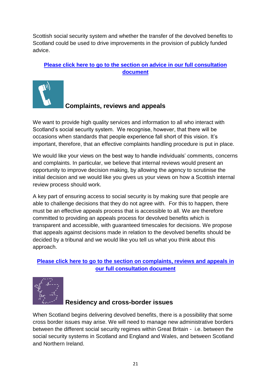Scottish social security system and whether the transfer of the devolved benefits to Scotland could be used to drive improvements in the provision of publicly funded advice.

**[Please click here to go to the section on advice](https://consult.scotland.gov.uk/social-security/social-security-in-scotland/consultation/subpage.2016-07-22.7638184102/) in our full consultation [document](https://consult.scotland.gov.uk/social-security/social-security-in-scotland/consultation/subpage.2016-07-22.7638184102/)**



## **Complaints, reviews and appeals**

We want to provide high quality services and information to all who interact with Scotland"s social security system. We recognise, however, that there will be occasions when standards that people experience fall short of this vision. It"s important, therefore, that an effective complaints handling procedure is put in place.

We would like your views on the best way to handle individuals' comments, concerns and complaints. In particular, we believe that internal reviews would present an opportunity to improve decision making, by allowing the agency to scrutinise the initial decision and we would like you gives us your views on how a Scottish internal review process should work.

A key part of ensuring access to social security is by making sure that people are able to challenge decisions that they do not agree with. For this to happen, there must be an effective appeals process that is accessible to all. We are therefore committed to providing an appeals process for devolved benefits which is transparent and accessible, with guaranteed timescales for decisions. We propose that appeals against decisions made in relation to the devolved benefits should be decided by a tribunal and we would like you tell us what you think about this approach.

### **[Please click here to go to the section on complaints, reviews and appeals](https://consult.scotland.gov.uk/social-security/social-security-in-scotland/consultation/subpage.2016-06-26.2074298732/) in [our full consultation document](https://consult.scotland.gov.uk/social-security/social-security-in-scotland/consultation/subpage.2016-06-26.2074298732/)**



## **Residency and cross-border issues**

When Scotland begins delivering devolved benefits, there is a possibility that some cross border issues may arise. We will need to manage new administrative borders between the different social security regimes within Great Britain - i.e. between the social security systems in Scotland and England and Wales, and between Scotland and Northern Ireland.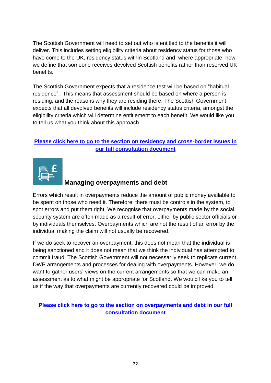The Scottish Government will need to set out who is entitled to the benefits it will deliver. This includes setting eligibility criteria about residency status for those who have come to the UK, residency status within Scotland and, where appropriate, how we define that someone receives devolved Scottish benefits rather than reserved UK benefits.

The Scottish Government expects that a residence test will be based on "habitual residence". This means that assessment should be based on where a person is residing, and the reasons why they are residing there. The Scottish Government expects that all devolved benefits will include residency status criteria, amongst the eligibility criteria which will determine entitlement to each benefit. We would like you to tell us what you think about this approach.

## **[Please click here to go to the section on residency and cross-border issues](https://consult.scotland.gov.uk/social-security/social-security-in-scotland/consultation/subpage.2016-06-26.2657833157/) in [our full consultation document](https://consult.scotland.gov.uk/social-security/social-security-in-scotland/consultation/subpage.2016-06-26.2657833157/)**



## **Managing overpayments and debt**

Errors which result in overpayments reduce the amount of public money available to be spent on those who need it. Therefore, there must be controls in the system, to spot errors and put them right. We recognise that overpayments made by the social security system are often made as a result of error, either by public sector officials or by individuals themselves. Overpayments which are not the result of an error by the individual making the claim will not usually be recovered.

If we do seek to recover an overpayment, this does not mean that the individual is being sanctioned and it does not mean that we think the individual has attempted to commit fraud. The Scottish Government will not necessarily seek to replicate current DWP arrangements and processes for dealing with overpayments. However, we do want to gather users" views on the current arrangements so that we can make an assessment as to what might be appropriate for Scotland. We would like you to tell us if the way that overpayments are currently recovered could be improved.

### **[Please click here to go to the section on overpayments and debt](https://consult.scotland.gov.uk/social-security/social-security-in-scotland/consultation/subpage.2016-06-26.8069308797/) in our full [consultation document](https://consult.scotland.gov.uk/social-security/social-security-in-scotland/consultation/subpage.2016-06-26.8069308797/)**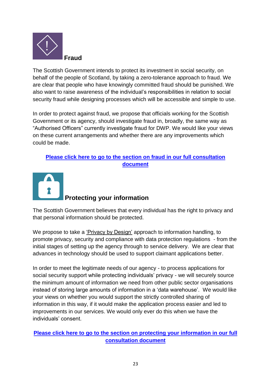

The Scottish Government intends to protect its investment in social security, on behalf of the people of Scotland, by taking a zero-tolerance approach to fraud. We are clear that people who have knowingly committed fraud should be punished. We also want to raise awareness of the individual"s responsibilities in relation to social security fraud while designing processes which will be accessible and simple to use.

In order to protect against fraud, we propose that officials working for the Scottish Government or its agency, should investigate fraud in, broadly, the same way as "Authorised Officers" currently investigate fraud for DWP. We would like your views on these current arrangements and whether there are any improvements which could be made.

## **[Please click here to go to the section on fraud](https://consult.scotland.gov.uk/social-security/social-security-in-scotland/consultation/subpage.2016-06-27.5108070609/) in our full consultation [document](https://consult.scotland.gov.uk/social-security/social-security-in-scotland/consultation/subpage.2016-06-27.5108070609/)**



The Scottish Government believes that every individual has the right to privacy and that personal information should be protected.

We propose to take a ["Privacy by Design"](https://ico.org.uk/for-organisations/guide-to-data-protection/privacy-by-design/) approach to information handling, to promote privacy, security and compliance with data protection regulations - from the initial stages of setting up the agency through to service delivery. We are clear that advances in technology should be used to support claimant applications better.

In order to meet the legitimate needs of our agency - to process applications for social security support while protecting individuals" privacy - we will securely source the minimum amount of information we need from other public sector organisations instead of storing large amounts of information in a 'data warehouse'. We would like your views on whether you would support the strictly controlled sharing of information in this way, if it would make the application process easier and led to improvements in our services. We would only ever do this when we have the individuals" consent.

**[Please click here to go to the section on protecting your information](https://consult.scotland.gov.uk/social-security/social-security-in-scotland/consultation/subpage.2016-06-27.6083504199/) in our full [consultation document](https://consult.scotland.gov.uk/social-security/social-security-in-scotland/consultation/subpage.2016-06-27.6083504199/)**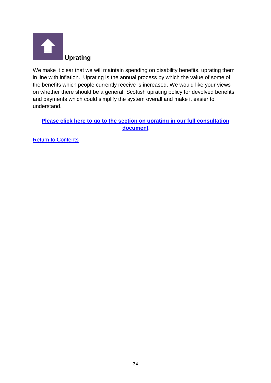

We make it clear that we will maintain spending on disability benefits, uprating them in line with inflation. Uprating is the annual process by which the value of some of the benefits which people currently receive is increased. We would like your views on whether there should be a general, Scottish uprating policy for devolved benefits and payments which could simplify the system overall and make it easier to understand.

**[Please click here to go to the section on uprating](https://consult.scotland.gov.uk/social-security/social-security-in-scotland/consultation/subpage.2016-06-27.7326510828/) in our full consultation [document](https://consult.scotland.gov.uk/social-security/social-security-in-scotland/consultation/subpage.2016-06-27.7326510828/)**

**[Return to Contents](#page-3-0)**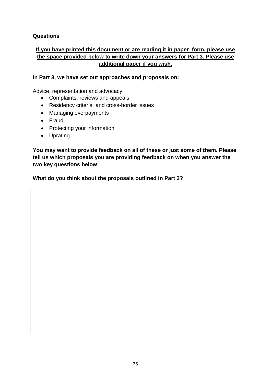#### **Questions**

### **If you have printed this document or are reading it in paper form, please use the space provided below to write down your answers for Part 3. Please use additional paper if you wish.**

#### **In Part 3, we have set out approaches and proposals on:**

Advice, representation and advocacy

- Complaints, reviews and appeals
- Residency criteria and cross-border issues
- Managing overpayments
- Fraud
- Protecting your information
- Uprating

**You may want to provide feedback on all of these or just some of them. Please tell us which proposals you are providing feedback on when you answer the two key questions below:**

**What do you think about the proposals outlined in Part 3?**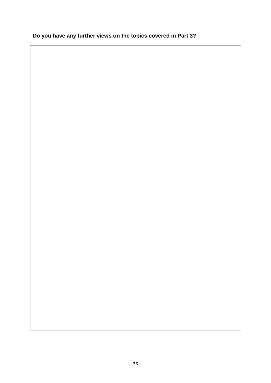## **Do you have any further views on the topics covered in Part 3?**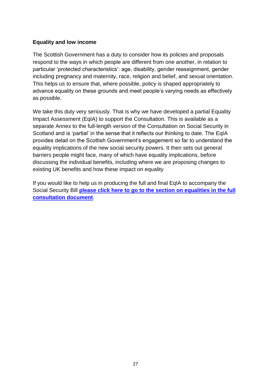#### **Equality and low income**

The Scottish Government has a duty to consider how its policies and proposals respond to the ways in which people are different from one another, in relation to particular "protected characteristics": age, disability, gender reassignment, gender including pregnancy and maternity, race, religion and belief, and sexual orientation. This helps us to ensure that, where possible, policy is shaped appropriately to advance equality on these grounds and meet people"s varying needs as effectively as possible.

We take this duty very seriously. That is why we have developed a partial Equality Impact Assessment (EqIA) to support the Consultation. This is available as a separate Annex to the full-length version of the Consultation on Social Security in Scotland and is "partial" in the sense that it reflects our thinking to date. The EqIA provides detail on the Scottish Government"s engagement so far to understand the equality implications of the new social security powers. It then sets out general barriers people might face, many of which have equality implications, before discussing the individual benefits, including where we are proposing changes to existing UK benefits and how these impact on equality

If you would like to help us in producing the full and final EqIA to accompany the Social Security Bill **please click here [to go to the section on equalities in the full](https://consult.scotland.gov.uk/social-security/social-security-in-scotland/consultation/subpage.2016-07-28.9872954604/)  [consultation document](https://consult.scotland.gov.uk/social-security/social-security-in-scotland/consultation/subpage.2016-07-28.9872954604/)**.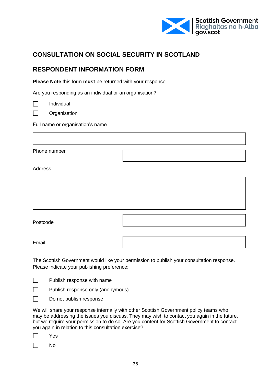

## <span id="page-30-0"></span>**CONSULTATION ON SOCIAL SECURITY IN SCOTLAND**

## **RESPONDENT INFORMATION FORM**

**Please Note** this form **must** be returned with your response.

Are you responding as an individual or an organisation?

 $\Box$ Individual

 $\Box$ **Organisation** 

Full name or organisation's name

Phone number

**Address** 

| Postcode |  |
|----------|--|
| Email    |  |

The Scottish Government would like your permission to publish your consultation response. Please indicate your publishing preference:

 $\Box$ Publish response with name

 $\Box$ Publish response only (anonymous)

 $\Box$ Do not publish response

We will share your response internally with other Scottish Government policy teams who may be addressing the issues you discuss. They may wish to contact you again in the future, but we require your permission to do so. Are you content for Scottish Government to contact you again in relation to this consultation exercise?

| es<br>ц |
|---------|
|         |

 $\Box$ 

No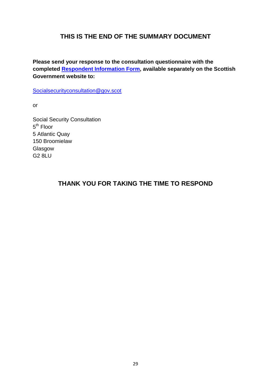## **THIS IS THE END OF THE SUMMARY DOCUMENT**

**Please send your response to the consultation questionnaire with the completed [Respondent Information Form,](#page-30-0) available separately on the Scottish Government website to:**

[Socialsecurityconsultation@gov.scot](mailto:Socialsecurityconsultation@gov.scot)

or

Social Security Consultation 5<sup>th</sup> Floor 5 Atlantic Quay 150 Broomielaw Glasgow G2 8LU

## **THANK YOU FOR TAKING THE TIME TO RESPOND**